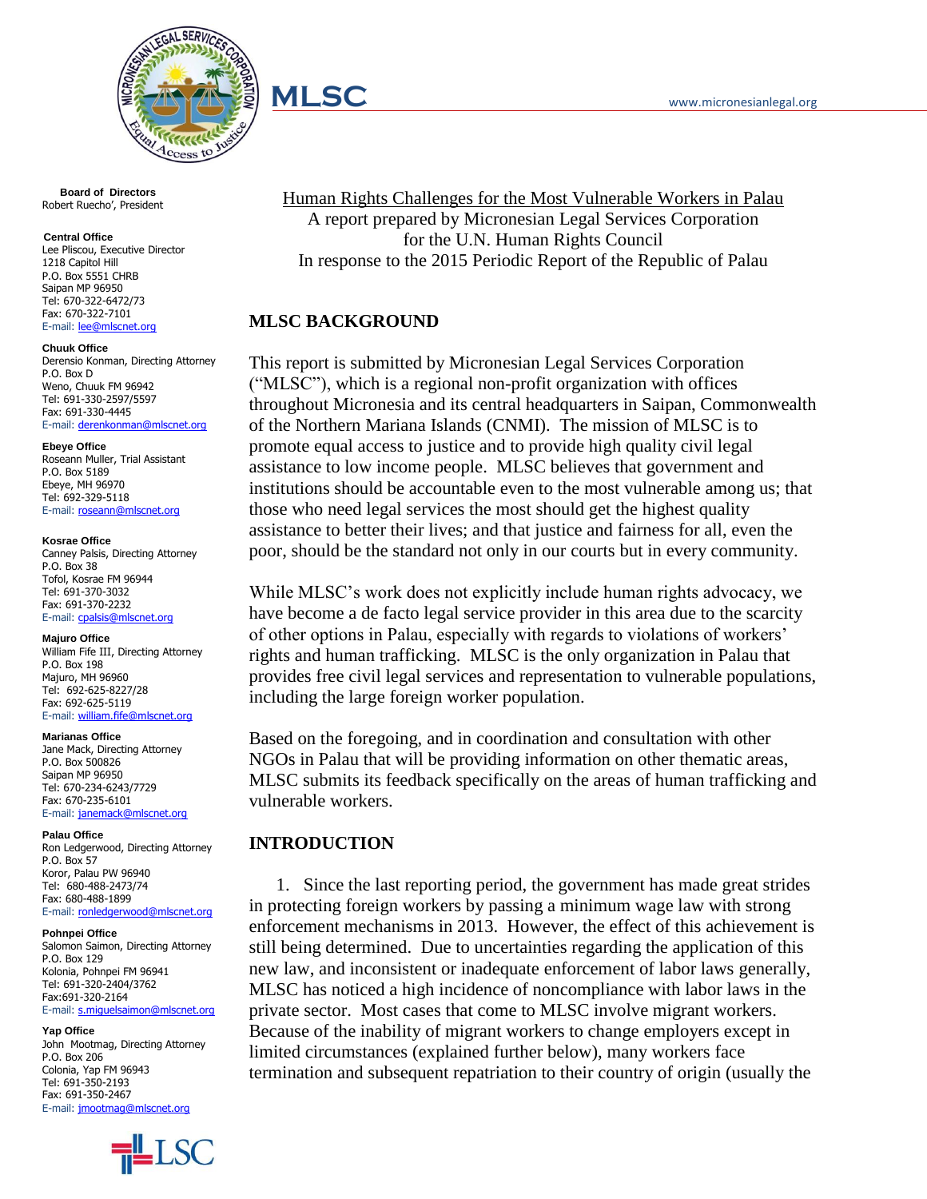

 **Board of Directors** Robert Ruecho', President

#### **Central Office**

Lee Pliscou, Executive Director 1218 Capitol Hill P.O. Box 5551 CHRB Saipan MP 96950 Tel: 670-322-6472/73 Fax: 670-322-7101 E-mail: [lee@mlscnet.org](mailto:lee@mlscnet.org)

#### **Chuuk Office**

Derensio Konman, Directing Attorney P.O. Box D Weno, Chuuk FM 96942 Tel: 691-330-2597/5597 Fax: 691-330-4445 E-mail: [derenkonman@mlscnet.org](mailto:derenkonman@mlscnet.org)

#### **Ebeye Office**

Roseann Muller, Trial Assistant P.O. Box 5189 Ebeye, MH 96970 Tel: 692-329-5118 E-mail: [roseann@mlscnet.org](mailto:roseann@mlscnet.org)

#### **Kosrae Office**

Canney Palsis, Directing Attorney P.O. Box 38 Tofol, Kosrae FM 96944 Tel: 691-370-3032 Fax: 691-370-2232 E-mail: [cpalsis@mlscnet.org](mailto:cpalsis@mlscnet.org)

### **Majuro Office**

William Fife III, Directing Attorney P.O. Box 198 Majuro, MH 96960 Tel: 692-625-8227/28 Fax: 692-625-5119 E-mail: [william.fife@mlscnet.org](mailto:william.fife@mlscnet.org)

#### **Marianas Office**

Jane Mack, Directing Attorney P.O. Box 500826 Saipan MP 96950 Tel: 670-234-6243/7729 Fax: 670-235-6101 E-mail: [janemack@mlscnet.org](mailto:janemack@mlscnet.org)

#### **Palau Office**

Ron Ledgerwood, Directing Attorney P.O. Box 57 Koror, Palau PW 96940 Tel: 680-488-2473/74 Fax: 680-488-1899 E-mail: [ronledgerwood@mlscnet.org](mailto:ronledgerwood@mlscnet.org)

#### **Pohnpei Office**

Salomon Saimon, Directing Attorney P.O. Box 129 Kolonia, Pohnpei FM 96941 Tel: 691-320-2404/3762 Fax:691-320-2164 E-mail: [s.miguelsaimon@mlscnet.org](mailto:s.miguelsaimon@mlscnet.org)

#### **Yap Office**

John Mootmag, Directing Attorney P.O. Box 206 Colonia, Yap FM 96943 Tel: 691-350-2193 Fax: 691-350-2467 E-mail: [jmootmag@mlscnet.org](mailto:jmootmag@mlscnet.org)



Human Rights Challenges for the Most Vulnerable Workers in Palau A report prepared by Micronesian Legal Services Corporation for the U.N. Human Rights Council In response to the 2015 Periodic Report of the Republic of Palau

### **MLSC BACKGROUND**

This report is submitted by Micronesian Legal Services Corporation ("MLSC"), which is a regional non-profit organization with offices throughout Micronesia and its central headquarters in Saipan, Commonwealth of the Northern Mariana Islands (CNMI). The mission of MLSC is to promote equal access to justice and to provide high quality civil legal assistance to low income people. MLSC believes that government and institutions should be accountable even to the most vulnerable among us; that those who need legal services the most should get the highest quality assistance to better their lives; and that justice and fairness for all, even the poor, should be the standard not only in our courts but in every community.

While MLSC's work does not explicitly include human rights advocacy, we have become a de facto legal service provider in this area due to the scarcity of other options in Palau, especially with regards to violations of workers' rights and human trafficking. MLSC is the only organization in Palau that provides free civil legal services and representation to vulnerable populations, including the large foreign worker population.

Based on the foregoing, and in coordination and consultation with other NGOs in Palau that will be providing information on other thematic areas, MLSC submits its feedback specifically on the areas of human trafficking and vulnerable workers.

### **INTRODUCTION**

1. Since the last reporting period, the government has made great strides in protecting foreign workers by passing a minimum wage law with strong enforcement mechanisms in 2013. However, the effect of this achievement is still being determined. Due to uncertainties regarding the application of this new law, and inconsistent or inadequate enforcement of labor laws generally, MLSC has noticed a high incidence of noncompliance with labor laws in the private sector. Most cases that come to MLSC involve migrant workers. Because of the inability of migrant workers to change employers except in limited circumstances (explained further below), many workers face termination and subsequent repatriation to their country of origin (usually the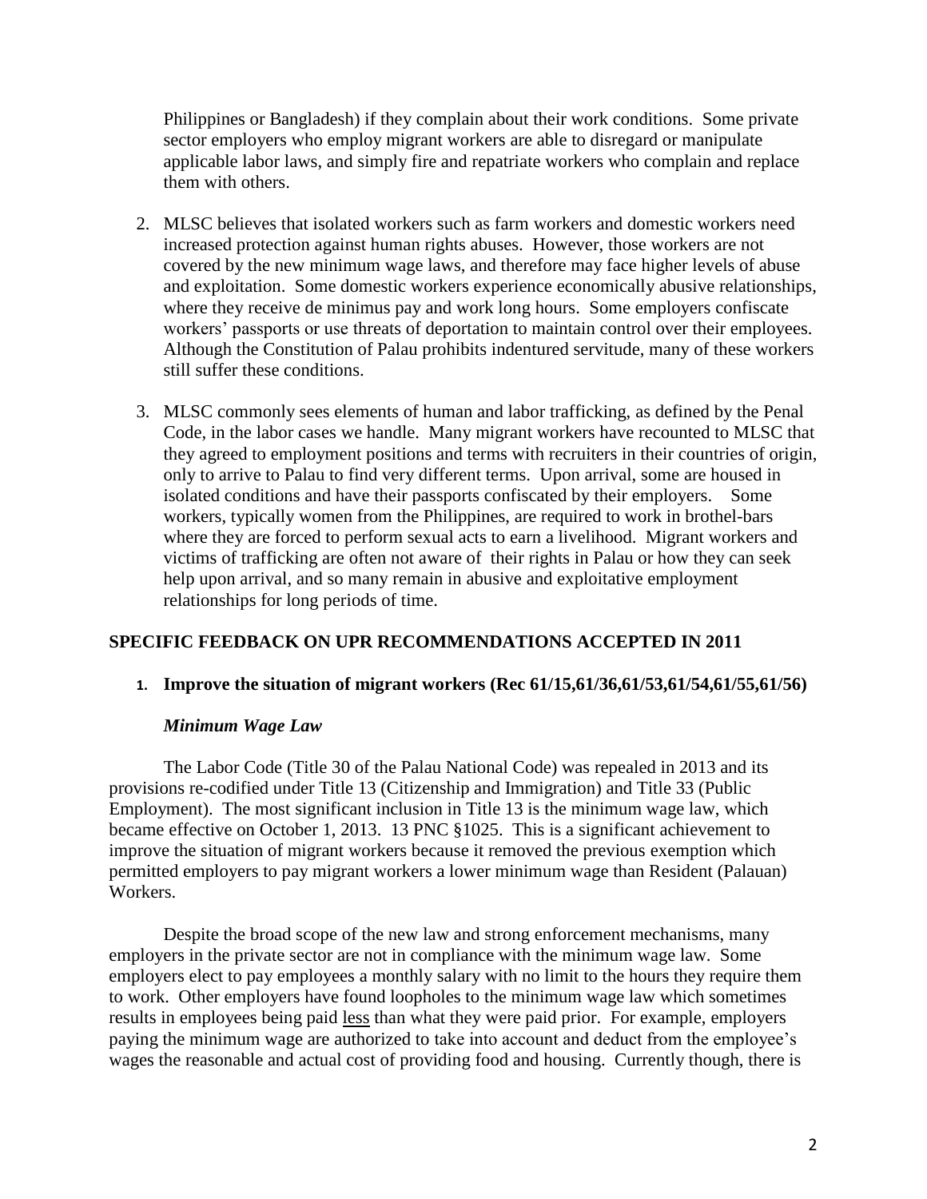Philippines or Bangladesh) if they complain about their work conditions. Some private sector employers who employ migrant workers are able to disregard or manipulate applicable labor laws, and simply fire and repatriate workers who complain and replace them with others.

- 2. MLSC believes that isolated workers such as farm workers and domestic workers need increased protection against human rights abuses. However, those workers are not covered by the new minimum wage laws, and therefore may face higher levels of abuse and exploitation. Some domestic workers experience economically abusive relationships, where they receive de minimus pay and work long hours. Some employers confiscate workers' passports or use threats of deportation to maintain control over their employees. Although the Constitution of Palau prohibits indentured servitude, many of these workers still suffer these conditions.
- 3. MLSC commonly sees elements of human and labor trafficking, as defined by the Penal Code, in the labor cases we handle. Many migrant workers have recounted to MLSC that they agreed to employment positions and terms with recruiters in their countries of origin, only to arrive to Palau to find very different terms. Upon arrival, some are housed in isolated conditions and have their passports confiscated by their employers. Some workers, typically women from the Philippines, are required to work in brothel-bars where they are forced to perform sexual acts to earn a livelihood. Migrant workers and victims of trafficking are often not aware of their rights in Palau or how they can seek help upon arrival, and so many remain in abusive and exploitative employment relationships for long periods of time.

## **SPECIFIC FEEDBACK ON UPR RECOMMENDATIONS ACCEPTED IN 2011**

### **1. Improve the situation of migrant workers (Rec 61/15,61/36,61/53,61/54,61/55,61/56)**

### *Minimum Wage Law*

The Labor Code (Title 30 of the Palau National Code) was repealed in 2013 and its provisions re-codified under Title 13 (Citizenship and Immigration) and Title 33 (Public Employment). The most significant inclusion in Title 13 is the minimum wage law, which became effective on October 1, 2013. 13 PNC §1025. This is a significant achievement to improve the situation of migrant workers because it removed the previous exemption which permitted employers to pay migrant workers a lower minimum wage than Resident (Palauan) Workers.

Despite the broad scope of the new law and strong enforcement mechanisms, many employers in the private sector are not in compliance with the minimum wage law. Some employers elect to pay employees a monthly salary with no limit to the hours they require them to work. Other employers have found loopholes to the minimum wage law which sometimes results in employees being paid less than what they were paid prior. For example, employers paying the minimum wage are authorized to take into account and deduct from the employee's wages the reasonable and actual cost of providing food and housing. Currently though, there is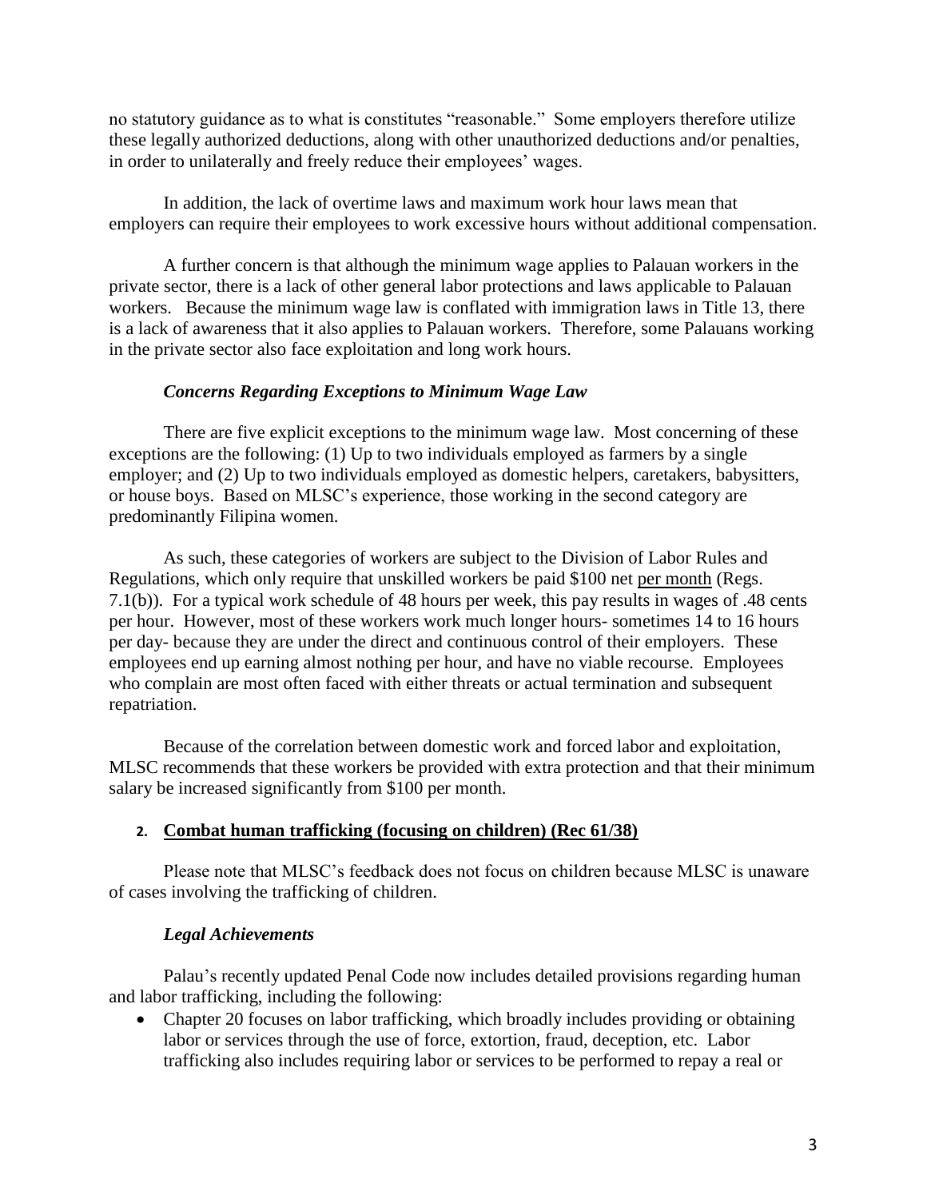no statutory guidance as to what is constitutes "reasonable." Some employers therefore utilize these legally authorized deductions, along with other unauthorized deductions and/or penalties, in order to unilaterally and freely reduce their employees' wages.

In addition, the lack of overtime laws and maximum work hour laws mean that employers can require their employees to work excessive hours without additional compensation.

A further concern is that although the minimum wage applies to Palauan workers in the private sector, there is a lack of other general labor protections and laws applicable to Palauan workers. Because the minimum wage law is conflated with immigration laws in Title 13, there is a lack of awareness that it also applies to Palauan workers. Therefore, some Palauans working in the private sector also face exploitation and long work hours.

## *Concerns Regarding Exceptions to Minimum Wage Law*

There are five explicit exceptions to the minimum wage law. Most concerning of these exceptions are the following: (1) Up to two individuals employed as farmers by a single employer; and (2) Up to two individuals employed as domestic helpers, caretakers, babysitters, or house boys. Based on MLSC's experience, those working in the second category are predominantly Filipina women.

As such, these categories of workers are subject to the Division of Labor Rules and Regulations, which only require that unskilled workers be paid \$100 net per month (Regs. 7.1(b)). For a typical work schedule of 48 hours per week, this pay results in wages of .48 cents per hour. However, most of these workers work much longer hours- sometimes 14 to 16 hours per day- because they are under the direct and continuous control of their employers. These employees end up earning almost nothing per hour, and have no viable recourse. Employees who complain are most often faced with either threats or actual termination and subsequent repatriation.

Because of the correlation between domestic work and forced labor and exploitation, MLSC recommends that these workers be provided with extra protection and that their minimum salary be increased significantly from \$100 per month.

## **2. Combat human trafficking (focusing on children) (Rec 61/38)**

Please note that MLSC's feedback does not focus on children because MLSC is unaware of cases involving the trafficking of children.

## *Legal Achievements*

Palau's recently updated Penal Code now includes detailed provisions regarding human and labor trafficking, including the following:

• Chapter 20 focuses on labor trafficking, which broadly includes providing or obtaining labor or services through the use of force, extortion, fraud, deception, etc. Labor trafficking also includes requiring labor or services to be performed to repay a real or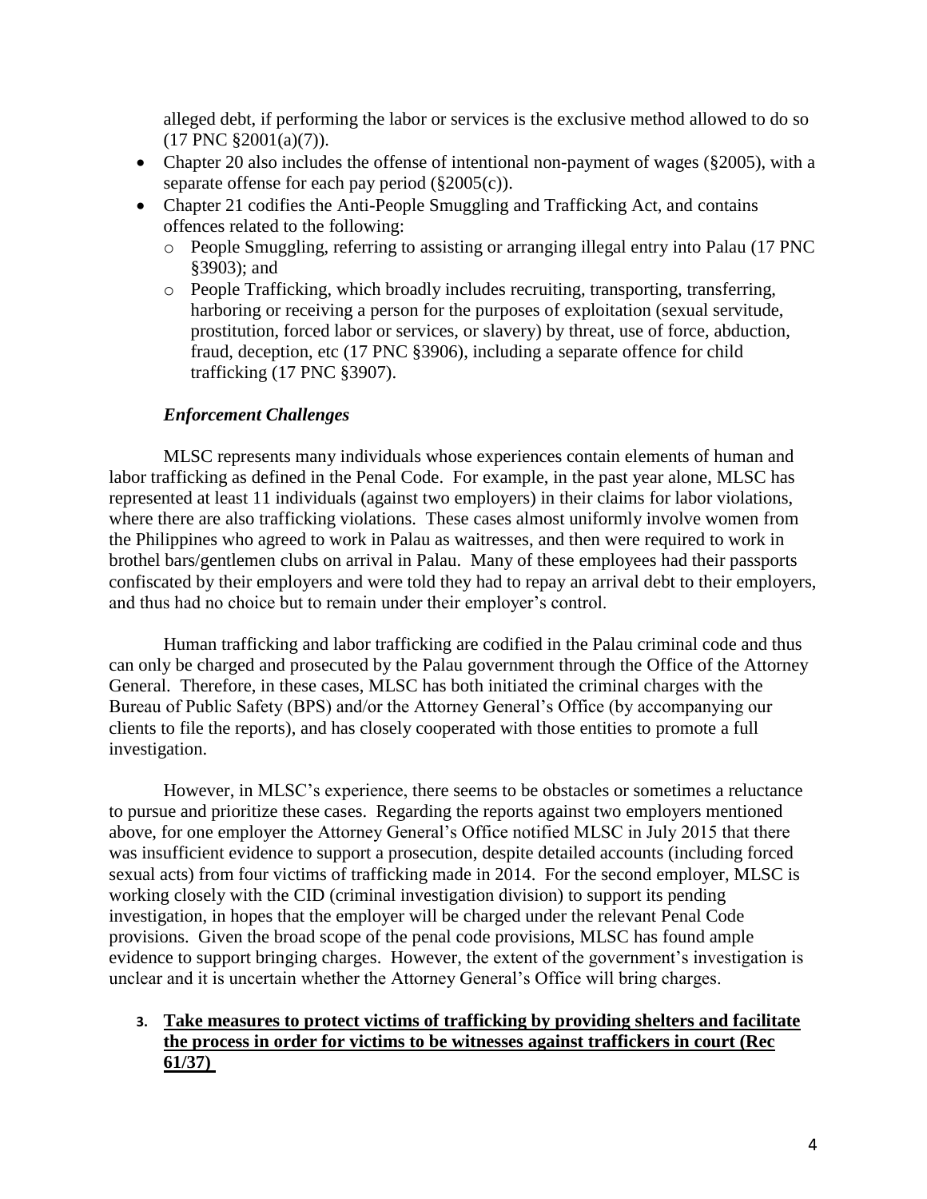alleged debt, if performing the labor or services is the exclusive method allowed to do so  $(17 \text{ PNC } \S 2001(a)(7)).$ 

- Chapter 20 also includes the offense of intentional non-payment of wages (§2005), with a separate offense for each pay period (§2005(c)).
- Chapter 21 codifies the Anti-People Smuggling and Trafficking Act, and contains offences related to the following:
	- o People Smuggling, referring to assisting or arranging illegal entry into Palau (17 PNC §3903); and
	- o People Trafficking, which broadly includes recruiting, transporting, transferring, harboring or receiving a person for the purposes of exploitation (sexual servitude, prostitution, forced labor or services, or slavery) by threat, use of force, abduction, fraud, deception, etc (17 PNC §3906), including a separate offence for child trafficking (17 PNC §3907).

## *Enforcement Challenges*

MLSC represents many individuals whose experiences contain elements of human and labor trafficking as defined in the Penal Code. For example, in the past year alone, MLSC has represented at least 11 individuals (against two employers) in their claims for labor violations, where there are also trafficking violations. These cases almost uniformly involve women from the Philippines who agreed to work in Palau as waitresses, and then were required to work in brothel bars/gentlemen clubs on arrival in Palau. Many of these employees had their passports confiscated by their employers and were told they had to repay an arrival debt to their employers, and thus had no choice but to remain under their employer's control.

Human trafficking and labor trafficking are codified in the Palau criminal code and thus can only be charged and prosecuted by the Palau government through the Office of the Attorney General. Therefore, in these cases, MLSC has both initiated the criminal charges with the Bureau of Public Safety (BPS) and/or the Attorney General's Office (by accompanying our clients to file the reports), and has closely cooperated with those entities to promote a full investigation.

However, in MLSC's experience, there seems to be obstacles or sometimes a reluctance to pursue and prioritize these cases. Regarding the reports against two employers mentioned above, for one employer the Attorney General's Office notified MLSC in July 2015 that there was insufficient evidence to support a prosecution, despite detailed accounts (including forced sexual acts) from four victims of trafficking made in 2014. For the second employer, MLSC is working closely with the CID (criminal investigation division) to support its pending investigation, in hopes that the employer will be charged under the relevant Penal Code provisions. Given the broad scope of the penal code provisions, MLSC has found ample evidence to support bringing charges. However, the extent of the government's investigation is unclear and it is uncertain whether the Attorney General's Office will bring charges.

## **3. Take measures to protect victims of trafficking by providing shelters and facilitate the process in order for victims to be witnesses against traffickers in court (Rec 61/37)**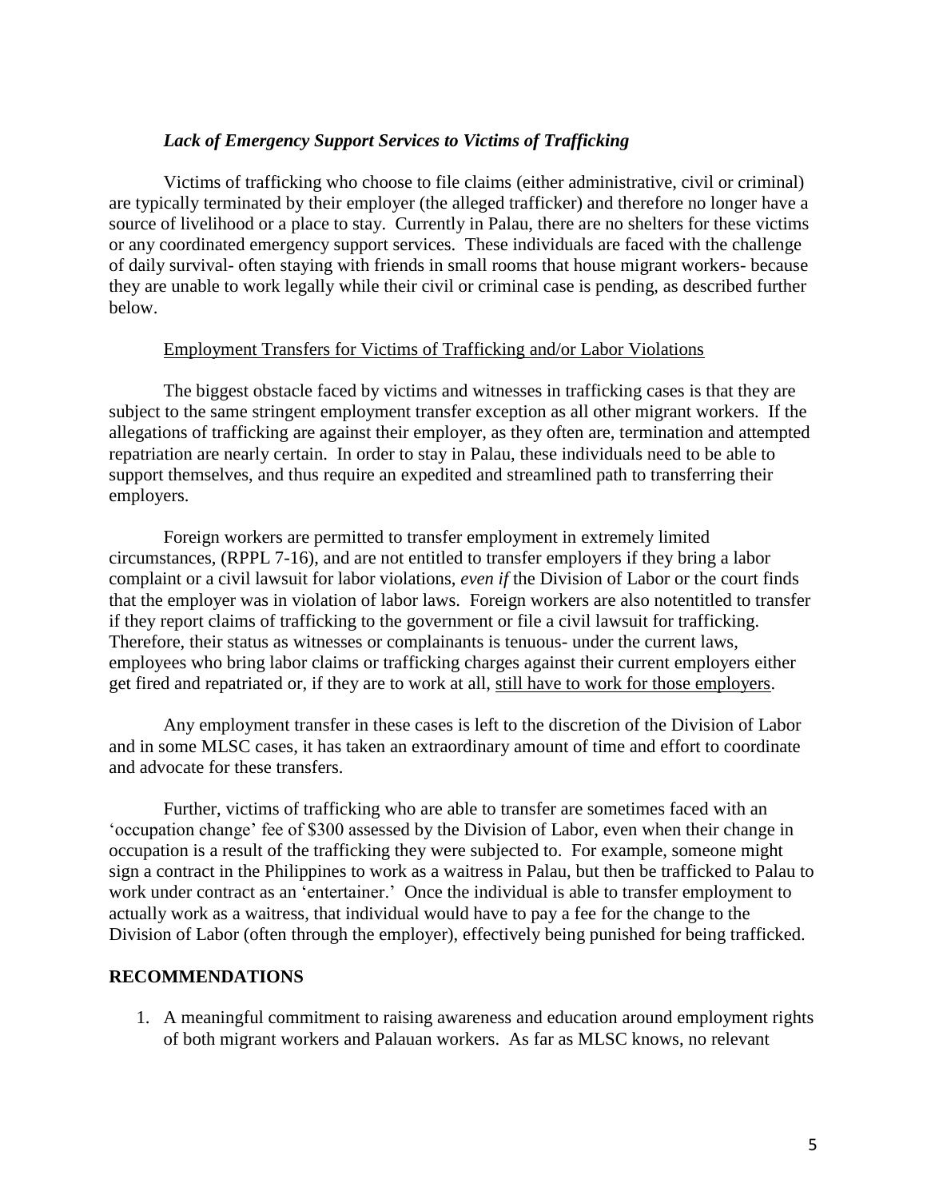### *Lack of Emergency Support Services to Victims of Trafficking*

Victims of trafficking who choose to file claims (either administrative, civil or criminal) are typically terminated by their employer (the alleged trafficker) and therefore no longer have a source of livelihood or a place to stay. Currently in Palau, there are no shelters for these victims or any coordinated emergency support services. These individuals are faced with the challenge of daily survival- often staying with friends in small rooms that house migrant workers- because they are unable to work legally while their civil or criminal case is pending, as described further below.

### Employment Transfers for Victims of Trafficking and/or Labor Violations

The biggest obstacle faced by victims and witnesses in trafficking cases is that they are subject to the same stringent employment transfer exception as all other migrant workers. If the allegations of trafficking are against their employer, as they often are, termination and attempted repatriation are nearly certain. In order to stay in Palau, these individuals need to be able to support themselves, and thus require an expedited and streamlined path to transferring their employers.

Foreign workers are permitted to transfer employment in extremely limited circumstances, (RPPL 7-16), and are not entitled to transfer employers if they bring a labor complaint or a civil lawsuit for labor violations, *even if* the Division of Labor or the court finds that the employer was in violation of labor laws. Foreign workers are also notentitled to transfer if they report claims of trafficking to the government or file a civil lawsuit for trafficking. Therefore, their status as witnesses or complainants is tenuous- under the current laws, employees who bring labor claims or trafficking charges against their current employers either get fired and repatriated or, if they are to work at all, still have to work for those employers.

Any employment transfer in these cases is left to the discretion of the Division of Labor and in some MLSC cases, it has taken an extraordinary amount of time and effort to coordinate and advocate for these transfers.

Further, victims of trafficking who are able to transfer are sometimes faced with an 'occupation change' fee of \$300 assessed by the Division of Labor, even when their change in occupation is a result of the trafficking they were subjected to. For example, someone might sign a contract in the Philippines to work as a waitress in Palau, but then be trafficked to Palau to work under contract as an 'entertainer.' Once the individual is able to transfer employment to actually work as a waitress, that individual would have to pay a fee for the change to the Division of Labor (often through the employer), effectively being punished for being trafficked.

### **RECOMMENDATIONS**

1. A meaningful commitment to raising awareness and education around employment rights of both migrant workers and Palauan workers. As far as MLSC knows, no relevant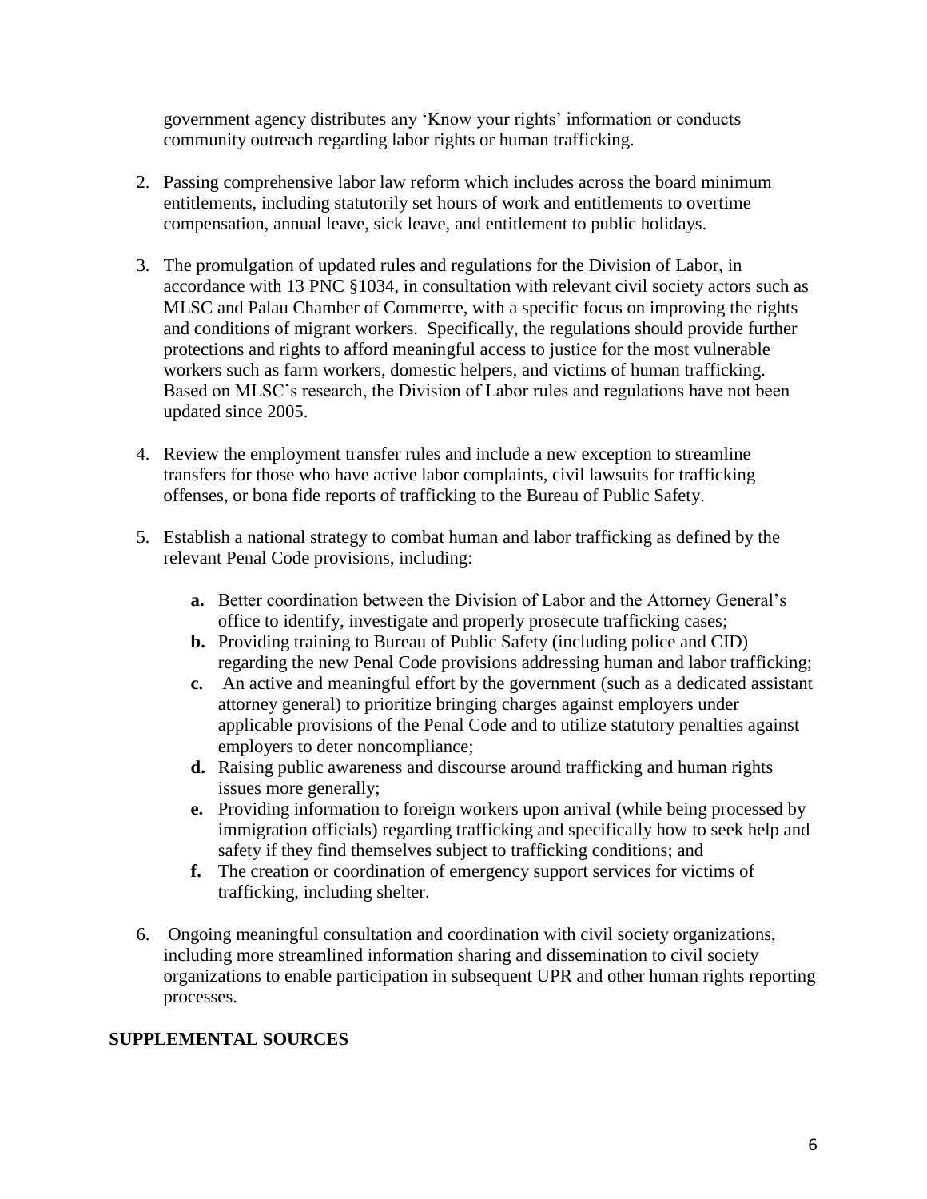government agency distributes any 'Know your rights' information or conducts community outreach regarding labor rights or human trafficking.

- 2. Passing comprehensive labor law reform which includes across the board minimum entitlements, including statutorily set hours of work and entitlements to overtime compensation, annual leave, sick leave, and entitlement to public holidays.
- 3. The promulgation of updated rules and regulations for the Division of Labor, in accordance with 13 PNC §1034, in consultation with relevant civil society actors such as MLSC and Palau Chamber of Commerce, with a specific focus on improving the rights and conditions of migrant workers. Specifically, the regulations should provide further protections and rights to afford meaningful access to justice for the most vulnerable workers such as farm workers, domestic helpers, and victims of human trafficking. Based on MLSC's research, the Division of Labor rules and regulations have not been updated since 2005.
- 4. Review the employment transfer rules and include a new exception to streamline transfers for those who have active labor complaints, civil lawsuits for trafficking offenses, or bona fide reports of trafficking to the Bureau of Public Safety.
- 5. Establish a national strategy to combat human and labor trafficking as defined by the relevant Penal Code provisions, including:
	- **a.** Better coordination between the Division of Labor and the Attorney General's office to identify, investigate and properly prosecute trafficking cases;
	- **b.** Providing training to Bureau of Public Safety (including police and CID) regarding the new Penal Code provisions addressing human and labor trafficking;
	- **c.** An active and meaningful effort by the government (such as a dedicated assistant attorney general) to prioritize bringing charges against employers under applicable provisions of the Penal Code and to utilize statutory penalties against employers to deter noncompliance;
	- **d.** Raising public awareness and discourse around trafficking and human rights issues more generally;
	- **e.** Providing information to foreign workers upon arrival (while being processed by immigration officials) regarding trafficking and specifically how to seek help and safety if they find themselves subject to trafficking conditions; and
	- **f.** The creation or coordination of emergency support services for victims of trafficking, including shelter.
- 6. Ongoing meaningful consultation and coordination with civil society organizations, including more streamlined information sharing and dissemination to civil society organizations to enable participation in subsequent UPR and other human rights reporting processes.

# **SUPPLEMENTAL SOURCES**